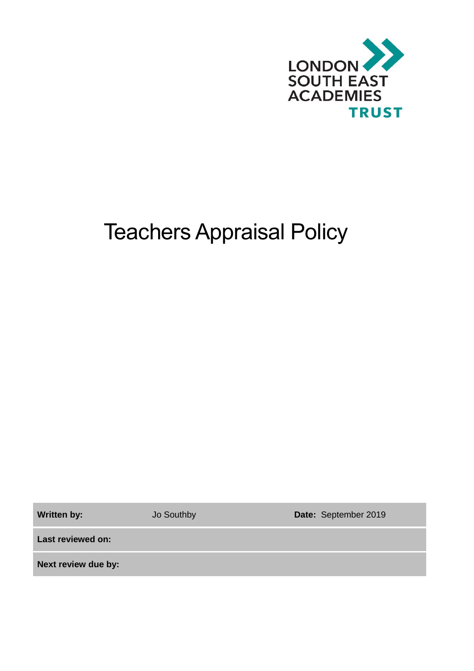

# Teachers Appraisal Policy

**Written by:** Jo Southby **Date:** September 2019

**Last reviewed on:**

**Next review due by:**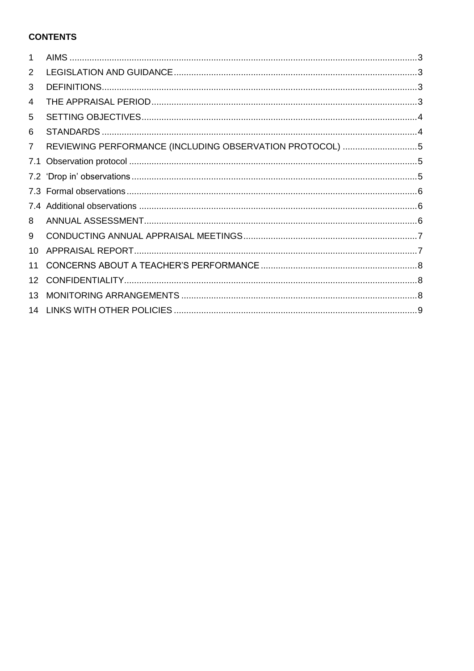# **CONTENTS**

| 1              |                                                          |
|----------------|----------------------------------------------------------|
| 2              |                                                          |
| 3              |                                                          |
| 4              |                                                          |
| 5              |                                                          |
| 6              |                                                          |
| $\overline{7}$ | REVIEWING PERFORMANCE (INCLUDING OBSERVATION PROTOCOL) 5 |
| 7.1            |                                                          |
|                |                                                          |
|                |                                                          |
|                |                                                          |
| 8              |                                                          |
| 9              |                                                          |
| 10             |                                                          |
| 11             |                                                          |
| 12             |                                                          |
| 13             |                                                          |
| 14             |                                                          |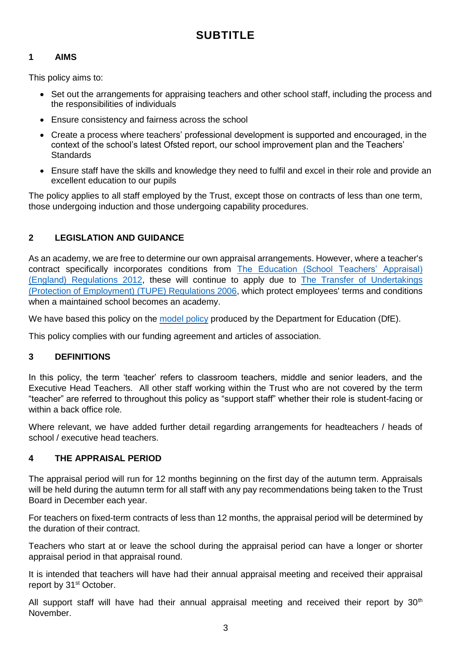# **SUBTITLE**

#### <span id="page-2-0"></span>**1 AIMS**

This policy aims to:

- Set out the arrangements for appraising teachers and other school staff, including the process and the responsibilities of individuals
- Ensure consistency and fairness across the school
- Create a process where teachers' professional development is supported and encouraged, in the context of the school's latest Ofsted report, our school improvement plan and the Teachers' **Standards**
- Ensure staff have the skills and knowledge they need to fulfil and excel in their role and provide an excellent education to our pupils

The policy applies to all staff employed by the Trust, except those on contracts of less than one term, those undergoing induction and those undergoing capability procedures.

# <span id="page-2-1"></span>**2 LEGISLATION AND GUIDANCE**

As an academy, we are free to determine our own appraisal arrangements. However, where a teacher's contract specifically incorporates conditions from The Education (School Teachers' Appraisal) [\(England\) Regulations 2012,](http://www.legislation.gov.uk/uksi/2012/115/contents/made) these will continue to apply due to [The Transfer of Undertakings](http://www.legislation.gov.uk/uksi/2006/246/contents/made)  [\(Protection of Employment\) \(TUPE\) Regulations 2006,](http://www.legislation.gov.uk/uksi/2006/246/contents/made) which protect employees' terms and conditions when a maintained school becomes an academy.

We have based this policy on the [model policy](https://www.gov.uk/government/publications/teacher-appraisal-and-capability-model-policy) produced by the Department for Education (DfE).

This policy complies with our funding agreement and articles of association.

#### <span id="page-2-2"></span>**3 DEFINITIONS**

In this policy, the term 'teacher' refers to classroom teachers, middle and senior leaders, and the Executive Head Teachers. All other staff working within the Trust who are not covered by the term "teacher" are referred to throughout this policy as "support staff" whether their role is student-facing or within a back office role.

Where relevant, we have added further detail regarding arrangements for headteachers / heads of school / executive head teachers.

#### <span id="page-2-3"></span>**4 THE APPRAISAL PERIOD**

The appraisal period will run for 12 months beginning on the first day of the autumn term. Appraisals will be held during the autumn term for all staff with any pay recommendations being taken to the Trust Board in December each year.

For teachers on fixed-term contracts of less than 12 months, the appraisal period will be determined by the duration of their contract.

Teachers who start at or leave the school during the appraisal period can have a longer or shorter appraisal period in that appraisal round.

It is intended that teachers will have had their annual appraisal meeting and received their appraisal report by 31<sup>st</sup> October.

All support staff will have had their annual appraisal meeting and received their report by  $30<sup>th</sup>$ November.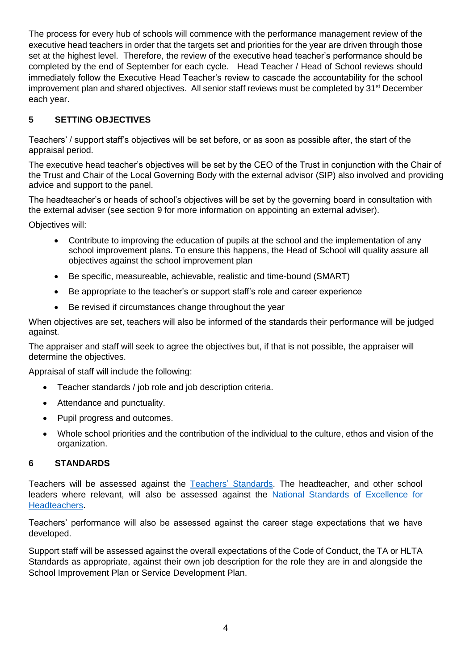The process for every hub of schools will commence with the performance management review of the executive head teachers in order that the targets set and priorities for the year are driven through those set at the highest level. Therefore, the review of the executive head teacher's performance should be completed by the end of September for each cycle. Head Teacher / Head of School reviews should immediately follow the Executive Head Teacher's review to cascade the accountability for the school improvement plan and shared objectives. All senior staff reviews must be completed by 31<sup>st</sup> December each year.

# <span id="page-3-0"></span>**5 SETTING OBJECTIVES**

Teachers' / support staff's objectives will be set before, or as soon as possible after, the start of the appraisal period.

The executive head teacher's objectives will be set by the CEO of the Trust in conjunction with the Chair of the Trust and Chair of the Local Governing Body with the external advisor (SIP) also involved and providing advice and support to the panel.

The headteacher's or heads of school's objectives will be set by the governing board in consultation with the external adviser (see section 9 for more information on appointing an external adviser).

Objectives will:

- Contribute to improving the education of pupils at the school and the implementation of any school improvement plans. To ensure this happens, the Head of School will quality assure all objectives against the school improvement plan
- Be specific, measureable, achievable, realistic and time-bound (SMART)
- Be appropriate to the teacher's or support staff's role and career experience
- Be revised if circumstances change throughout the year

When objectives are set, teachers will also be informed of the standards their performance will be judged against.

The appraiser and staff will seek to agree the objectives but, if that is not possible, the appraiser will determine the objectives.

Appraisal of staff will include the following:

- Teacher standards / job role and job description criteria.
- Attendance and punctuality.
- Pupil progress and outcomes.
- Whole school priorities and the contribution of the individual to the culture, ethos and vision of the organization.

#### <span id="page-3-1"></span>**6 STANDARDS**

Teachers will be assessed against the Teachers' [Standards.](https://www.gov.uk/government/publications/teachers-standards) The headteacher, and other school leaders where relevant, will also be assessed against the [National Standards of Excellence for](https://www.gov.uk/government/publications/national-standards-of-excellence-for-headteachers)  [Headteachers.](https://www.gov.uk/government/publications/national-standards-of-excellence-for-headteachers)

Teachers' performance will also be assessed against the career stage expectations that we have developed.

Support staff will be assessed against the overall expectations of the Code of Conduct, the TA or HLTA Standards as appropriate, against their own job description for the role they are in and alongside the School Improvement Plan or Service Development Plan.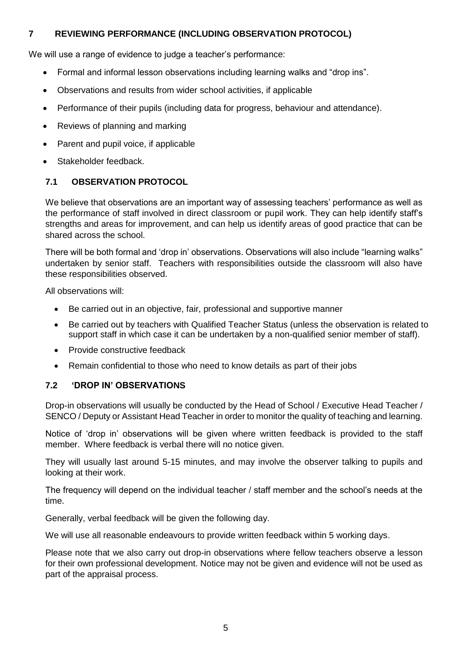#### <span id="page-4-0"></span>**7 REVIEWING PERFORMANCE (INCLUDING OBSERVATION PROTOCOL)**

We will use a range of evidence to judge a teacher's performance:

- Formal and informal lesson observations including learning walks and "drop ins".
- Observations and results from wider school activities, if applicable
- Performance of their pupils (including data for progress, behaviour and attendance).
- Reviews of planning and marking
- Parent and pupil voice, if applicable
- Stakeholder feedback.

#### <span id="page-4-1"></span>**7.1 OBSERVATION PROTOCOL**

We believe that observations are an important way of assessing teachers' performance as well as the performance of staff involved in direct classroom or pupil work. They can help identify staff's strengths and areas for improvement, and can help us identify areas of good practice that can be shared across the school.

There will be both formal and 'drop in' observations. Observations will also include "learning walks" undertaken by senior staff. Teachers with responsibilities outside the classroom will also have these responsibilities observed.

All observations will:

- Be carried out in an objective, fair, professional and supportive manner
- Be carried out by teachers with Qualified Teacher Status (unless the observation is related to support staff in which case it can be undertaken by a non-qualified senior member of staff).
- Provide constructive feedback
- Remain confidential to those who need to know details as part of their jobs

#### <span id="page-4-2"></span>**7.2 'DROP IN' OBSERVATIONS**

Drop-in observations will usually be conducted by the Head of School / Executive Head Teacher / SENCO / Deputy or Assistant Head Teacher in order to monitor the quality of teaching and learning.

Notice of 'drop in' observations will be given where written feedback is provided to the staff member. Where feedback is verbal there will no notice given.

They will usually last around 5-15 minutes, and may involve the observer talking to pupils and looking at their work.

The frequency will depend on the individual teacher / staff member and the school's needs at the time.

Generally, verbal feedback will be given the following day.

We will use all reasonable endeavours to provide written feedback within 5 working days.

Please note that we also carry out drop-in observations where fellow teachers observe a lesson for their own professional development. Notice may not be given and evidence will not be used as part of the appraisal process.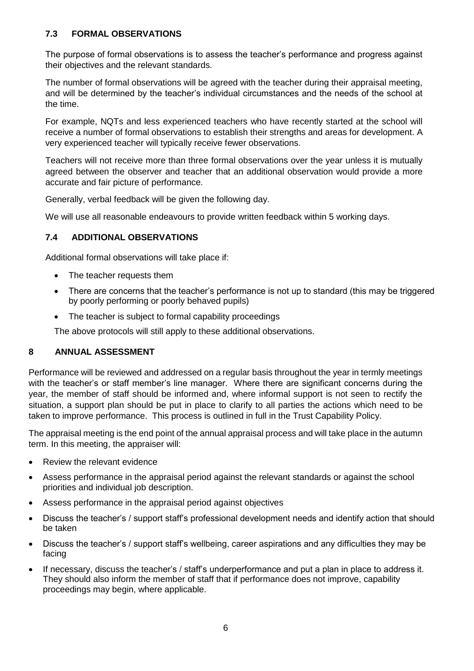#### <span id="page-5-0"></span>**7.3 FORMAL OBSERVATIONS**

The purpose of formal observations is to assess the teacher's performance and progress against their objectives and the relevant standards.

The number of formal observations will be agreed with the teacher during their appraisal meeting, and will be determined by the teacher's individual circumstances and the needs of the school at the time.

For example, NQTs and less experienced teachers who have recently started at the school will receive a number of formal observations to establish their strengths and areas for development. A very experienced teacher will typically receive fewer observations.

Teachers will not receive more than three formal observations over the year unless it is mutually agreed between the observer and teacher that an additional observation would provide a more accurate and fair picture of performance.

Generally, verbal feedback will be given the following day.

We will use all reasonable endeavours to provide written feedback within 5 working days.

#### <span id="page-5-1"></span>**7.4 ADDITIONAL OBSERVATIONS**

Additional formal observations will take place if:

- The teacher requests them
- There are concerns that the teacher's performance is not up to standard (this may be triggered by poorly performing or poorly behaved pupils)
- The teacher is subject to formal capability proceedings

The above protocols will still apply to these additional observations.

#### <span id="page-5-2"></span>**8 ANNUAL ASSESSMENT**

Performance will be reviewed and addressed on a regular basis throughout the year in termly meetings with the teacher's or staff member's line manager. Where there are significant concerns during the year, the member of staff should be informed and, where informal support is not seen to rectify the situation, a support plan should be put in place to clarify to all parties the actions which need to be taken to improve performance. This process is outlined in full in the Trust Capability Policy.

The appraisal meeting is the end point of the annual appraisal process and will take place in the autumn term. In this meeting, the appraiser will:

- Review the relevant evidence
- Assess performance in the appraisal period against the relevant standards or against the school priorities and individual job description.
- Assess performance in the appraisal period against objectives
- Discuss the teacher's / support staff's professional development needs and identify action that should be taken
- Discuss the teacher's / support staff's wellbeing, career aspirations and any difficulties they may be facing
- If necessary, discuss the teacher's / staff's underperformance and put a plan in place to address it. They should also inform the member of staff that if performance does not improve, capability proceedings may begin, where applicable.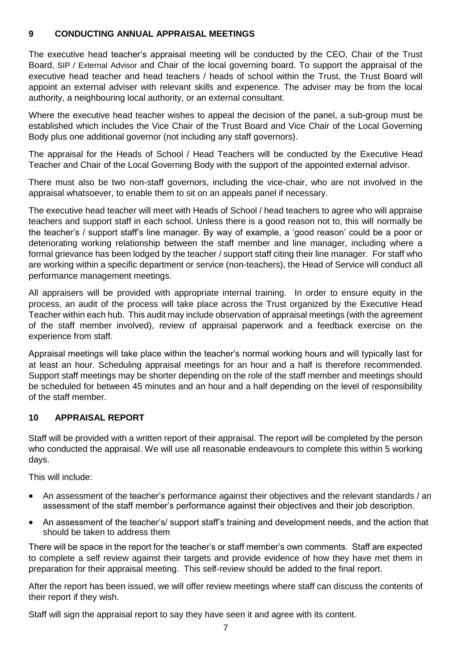#### <span id="page-6-0"></span>**9 CONDUCTING ANNUAL APPRAISAL MEETINGS**

The executive head teacher's appraisal meeting will be conducted by the CEO, Chair of the Trust Board, SIP / External Advisor and Chair of the local governing board. To support the appraisal of the executive head teacher and head teachers / heads of school within the Trust, the Trust Board will appoint an external adviser with relevant skills and experience. The adviser may be from the local authority, a neighbouring local authority, or an external consultant.

Where the executive head teacher wishes to appeal the decision of the panel, a sub-group must be established which includes the Vice Chair of the Trust Board and Vice Chair of the Local Governing Body plus one additional governor (not including any staff governors).

The appraisal for the Heads of School / Head Teachers will be conducted by the Executive Head Teacher and Chair of the Local Governing Body with the support of the appointed external advisor.

There must also be two non-staff governors, including the vice-chair, who are not involved in the appraisal whatsoever, to enable them to sit on an appeals panel if necessary.

The executive head teacher will meet with Heads of School / head teachers to agree who will appraise teachers and support staff in each school. Unless there is a good reason not to, this will normally be the teacher's / support staff's line manager. By way of example, a 'good reason' could be a poor or deteriorating working relationship between the staff member and line manager, including where a formal grievance has been lodged by the teacher / support staff citing their line manager. For staff who are working within a specific department or service (non-teachers), the Head of Service will conduct all performance management meetings.

All appraisers will be provided with appropriate internal training. In order to ensure equity in the process, an audit of the process will take place across the Trust organized by the Executive Head Teacher within each hub. This audit may include observation of appraisal meetings (with the agreement of the staff member involved), review of appraisal paperwork and a feedback exercise on the experience from staff.

Appraisal meetings will take place within the teacher's normal working hours and will typically last for at least an hour. Scheduling appraisal meetings for an hour and a half is therefore recommended. Support staff meetings may be shorter depending on the role of the staff member and meetings should be scheduled for between 45 minutes and an hour and a half depending on the level of responsibility of the staff member.

#### <span id="page-6-1"></span>**10 APPRAISAL REPORT**

Staff will be provided with a written report of their appraisal. The report will be completed by the person who conducted the appraisal. We will use all reasonable endeavours to complete this within 5 working days.

This will include:

- An assessment of the teacher's performance against their objectives and the relevant standards / an assessment of the staff member's performance against their objectives and their job description.
- An assessment of the teacher's/ support staff's training and development needs, and the action that should be taken to address them

There will be space in the report for the teacher's or staff member's own comments. Staff are expected to complete a self review against their targets and provide evidence of how they have met them in preparation for their appraisal meeting. This self-review should be added to the final report.

After the report has been issued, we will offer review meetings where staff can discuss the contents of their report if they wish.

Staff will sign the appraisal report to say they have seen it and agree with its content.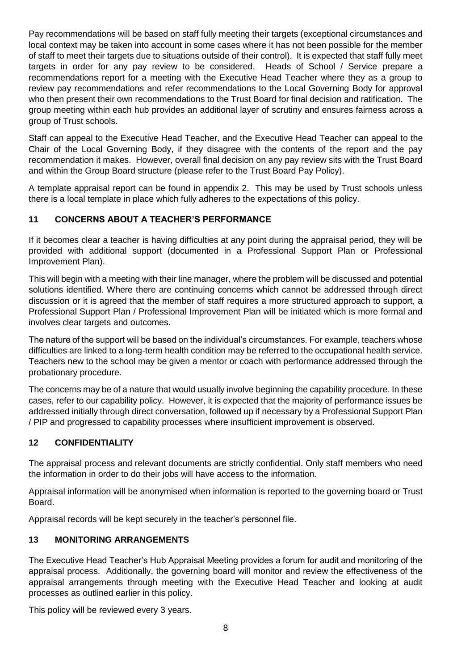Pay recommendations will be based on staff fully meeting their targets (exceptional circumstances and local context may be taken into account in some cases where it has not been possible for the member of staff to meet their targets due to situations outside of their control). It is expected that staff fully meet targets in order for any pay review to be considered. Heads of School / Service prepare a recommendations report for a meeting with the Executive Head Teacher where they as a group to review pay recommendations and refer recommendations to the Local Governing Body for approval who then present their own recommendations to the Trust Board for final decision and ratification. The group meeting within each hub provides an additional layer of scrutiny and ensures fairness across a group of Trust schools.

Staff can appeal to the Executive Head Teacher, and the Executive Head Teacher can appeal to the Chair of the Local Governing Body, if they disagree with the contents of the report and the pay recommendation it makes. However, overall final decision on any pay review sits with the Trust Board and within the Group Board structure (please refer to the Trust Board Pay Policy).

A template appraisal report can be found in appendix 2. This may be used by Trust schools unless there is a local template in place which fully adheres to the expectations of this policy.

#### <span id="page-7-0"></span>**11 CONCERNS ABOUT A TEACHER'S PERFORMANCE**

If it becomes clear a teacher is having difficulties at any point during the appraisal period, they will be provided with additional support (documented in a Professional Support Plan or Professional Improvement Plan).

This will begin with a meeting with their line manager, where the problem will be discussed and potential solutions identified. Where there are continuing concerns which cannot be addressed through direct discussion or it is agreed that the member of staff requires a more structured approach to support, a Professional Support Plan / Professional Improvement Plan will be initiated which is more formal and involves clear targets and outcomes.

The nature of the support will be based on the individual's circumstances. For example, teachers whose difficulties are linked to a long-term health condition may be referred to the occupational health service. Teachers new to the school may be given a mentor or coach with performance addressed through the probationary procedure.

The concerns may be of a nature that would usually involve beginning the capability procedure. In these cases, refer to our capability policy. However, it is expected that the majority of performance issues be addressed initially through direct conversation, followed up if necessary by a Professional Support Plan / PIP and progressed to capability processes where insufficient improvement is observed.

#### <span id="page-7-1"></span>**12 CONFIDENTIALITY**

The appraisal process and relevant documents are strictly confidential. Only staff members who need the information in order to do their jobs will have access to the information.

Appraisal information will be anonymised when information is reported to the governing board or Trust Board.

Appraisal records will be kept securely in the teacher's personnel file.

#### <span id="page-7-2"></span>**13 MONITORING ARRANGEMENTS**

The Executive Head Teacher's Hub Appraisal Meeting provides a forum for audit and monitoring of the appraisal process. Additionally, the governing board will monitor and review the effectiveness of the appraisal arrangements through meeting with the Executive Head Teacher and looking at audit processes as outlined earlier in this policy.

This policy will be reviewed every 3 years.